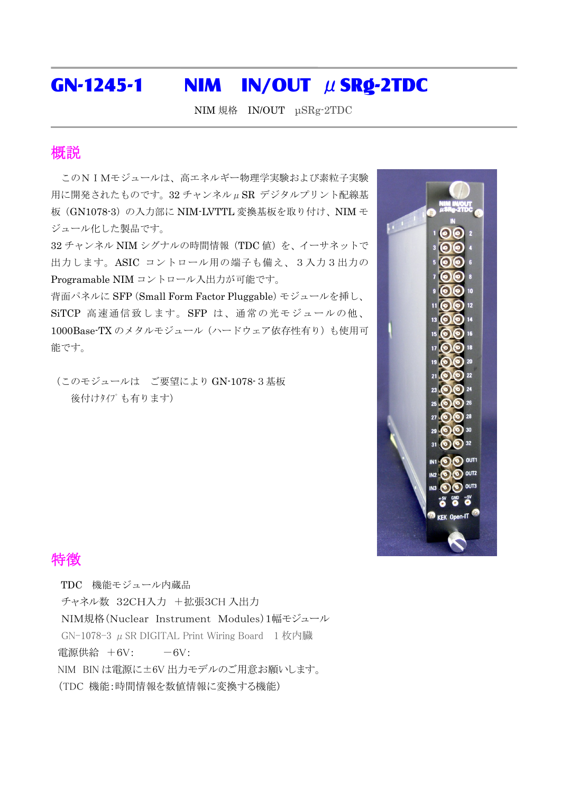## GN-1245-1 NIM IN/OUT  $\mu$  SRg-2TDC

NIM 規格 IN/OUT μSRg-2TDC

## 概説

このNIMモジュールは、高エネルギー物理学実験および素粒子実験 用に開発されたものです。32 チャンネルμSR デジタルプリント配線基 板(GN1078-3)の入力部に NIM-LVTTL 変換基板を取り付け、NIM モ ジュール化した製品です。

32 チャンネル NIM シグナルの時間情報 (TDC 値)を、イーサネットで 出力します。ASIC コントロール用の端子も備え、3入力3出力の Programable NIM コントロール入出力が可能です。

背面パネルに SFP(Small Form Factor Pluggable)モジュールを挿し、 SiTCP 高速通信致します。SFP は、通常の光モジュールの他、 1000Base-TX のメタルモジュール(ハードウェア依存性有り)も使用可 能です。

(このモジュールは ご要望により GN-1078-3基板 後付けりイプ も有ります)



## 特徴

TDC 機能モジュール内蔵品 チャネル数 32CH入力 +拡張3CH 入出力 NIM規格(Nuclear Instrument Modules)1幅モジュール GN-1078-3  $\mu$  SR DIGITAL Print Wiring Board 1枚内臓 電源供給  $+6V$ :  $-6V$ : NIM BIN は電源に±6V 出力モデルのご用意お願いします。 (TDC 機能:時間情報を数値情報に変換する機能)